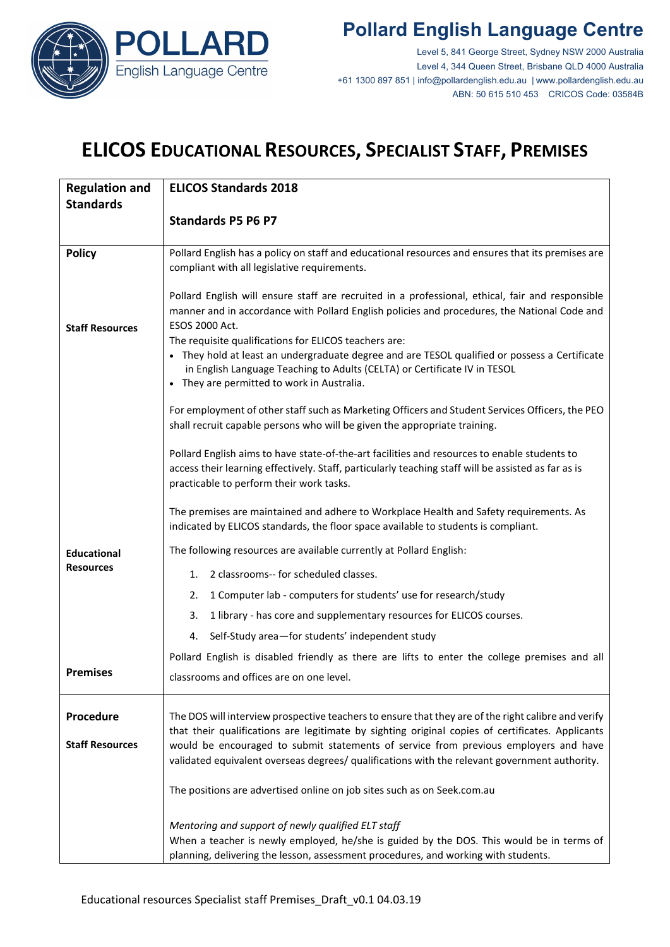

#### **Pollard English Language Centre**

Level 5, 841 George Street, Sydney NSW 2000 Australia Level 4, 344 Queen Street, Brisbane QLD 4000 Australia +61 1300 897 851 | info@pollardenglish.edu.au | www.pollardenglish.edu.au ABN: 50 615 510 453 CRICOS Code: 03584B

# **ELICOS EDUCATIONAL RESOURCES, SPECIALIST STAFF, PREMISES**

| <b>Regulation and</b>  | <b>ELICOS Standards 2018</b>                                                                                                                                                                            |
|------------------------|---------------------------------------------------------------------------------------------------------------------------------------------------------------------------------------------------------|
| <b>Standards</b>       |                                                                                                                                                                                                         |
|                        | <b>Standards P5 P6 P7</b>                                                                                                                                                                               |
|                        |                                                                                                                                                                                                         |
| <b>Policy</b>          | Pollard English has a policy on staff and educational resources and ensures that its premises are<br>compliant with all legislative requirements.                                                       |
|                        |                                                                                                                                                                                                         |
|                        | Pollard English will ensure staff are recruited in a professional, ethical, fair and responsible                                                                                                        |
|                        | manner and in accordance with Pollard English policies and procedures, the National Code and                                                                                                            |
| <b>Staff Resources</b> | ESOS 2000 Act.<br>The requisite qualifications for ELICOS teachers are:                                                                                                                                 |
|                        | • They hold at least an undergraduate degree and are TESOL qualified or possess a Certificate                                                                                                           |
|                        | in English Language Teaching to Adults (CELTA) or Certificate IV in TESOL                                                                                                                               |
|                        | • They are permitted to work in Australia.                                                                                                                                                              |
|                        | For employment of other staff such as Marketing Officers and Student Services Officers, the PEO                                                                                                         |
|                        | shall recruit capable persons who will be given the appropriate training.                                                                                                                               |
|                        | Pollard English aims to have state-of-the-art facilities and resources to enable students to                                                                                                            |
|                        | access their learning effectively. Staff, particularly teaching staff will be assisted as far as is                                                                                                     |
|                        | practicable to perform their work tasks.                                                                                                                                                                |
|                        | The premises are maintained and adhere to Workplace Health and Safety requirements. As                                                                                                                  |
|                        | indicated by ELICOS standards, the floor space available to students is compliant.                                                                                                                      |
| <b>Educational</b>     | The following resources are available currently at Pollard English:                                                                                                                                     |
| <b>Resources</b>       | 2 classrooms-- for scheduled classes.<br>1.                                                                                                                                                             |
|                        | 1 Computer lab - computers for students' use for research/study<br>2.                                                                                                                                   |
|                        | 1 library - has core and supplementary resources for ELICOS courses.<br>3.                                                                                                                              |
|                        | Self-Study area-for students' independent study<br>4.                                                                                                                                                   |
|                        | Pollard English is disabled friendly as there are lifts to enter the college premises and all                                                                                                           |
| <b>Premises</b>        | classrooms and offices are on one level.                                                                                                                                                                |
|                        |                                                                                                                                                                                                         |
| Procedure              | The DOS will interview prospective teachers to ensure that they are of the right calibre and verify<br>that their qualifications are legitimate by sighting original copies of certificates. Applicants |
| <b>Staff Resources</b> | would be encouraged to submit statements of service from previous employers and have                                                                                                                    |
|                        | validated equivalent overseas degrees/ qualifications with the relevant government authority.                                                                                                           |
|                        | The positions are advertised online on job sites such as on Seek.com.au                                                                                                                                 |
|                        | Mentoring and support of newly qualified ELT staff                                                                                                                                                      |
|                        | When a teacher is newly employed, he/she is guided by the DOS. This would be in terms of                                                                                                                |
|                        | planning, delivering the lesson, assessment procedures, and working with students.                                                                                                                      |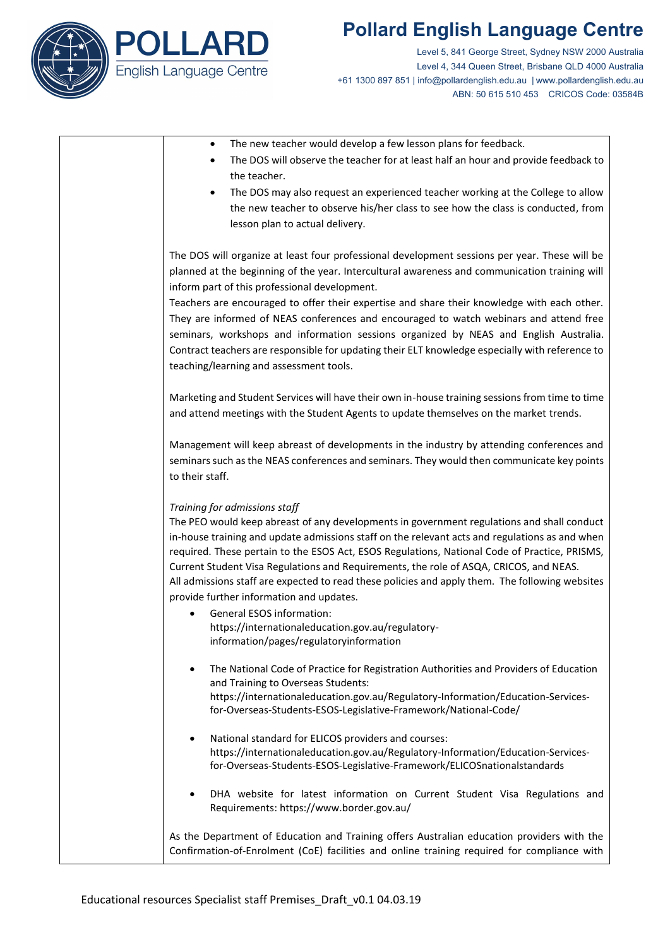

## **Pollard English Language Centre**

Level 5, 841 George Street, Sydney NSW 2000 Australia Level 4, 344 Queen Street, Brisbane QLD 4000 Australia +61 1300 897 851 | info@pollardenglish.edu.au | www.pollardenglish.edu.au ABN: 50 615 510 453 CRICOS Code: 03584B

- The new teacher would develop a few lesson plans for feedback.
- The DOS will observe the teacher for at least half an hour and provide feedback to the teacher.
- The DOS may also request an experienced teacher working at the College to allow the new teacher to observe his/her class to see how the class is conducted, from lesson plan to actual delivery.

The DOS will organize at least four professional development sessions per year. These will be planned at the beginning of the year. Intercultural awareness and communication training will inform part of this professional development.

Teachers are encouraged to offer their expertise and share their knowledge with each other. They are informed of NEAS conferences and encouraged to watch webinars and attend free seminars, workshops and information sessions organized by NEAS and English Australia. Contract teachers are responsible for updating their ELT knowledge especially with reference to teaching/learning and assessment tools.

Marketing and Student Services will have their own in-house training sessions from time to time and attend meetings with the Student Agents to update themselves on the market trends.

Management will keep abreast of developments in the industry by attending conferences and seminars such as the NEAS conferences and seminars. They would then communicate key points to their staff.

#### *Training for admissions staff*

The PEO would keep abreast of any developments in government regulations and shall conduct in-house training and update admissions staff on the relevant acts and regulations as and when required. These pertain to the ESOS Act, ESOS Regulations, National Code of Practice, PRISMS, Current Student Visa Regulations and Requirements, the role of ASQA, CRICOS, and NEAS. All admissions staff are expected to read these policies and apply them. The following websites provide further information and updates.

- General ESOS information: https://internationaleducation.gov.au/regulatoryinformation/pages/regulatoryinformation
- The National Code of Practice for Registration Authorities and Providers of Education and Training to Overseas Students: https://internationaleducation.gov.au/Regulatory-Information/Education-Servicesfor-Overseas-Students-ESOS-Legislative-Framework/National-Code/
- National standard for ELICOS providers and courses: https://internationaleducation.gov.au/Regulatory-Information/Education-Servicesfor-Overseas-Students-ESOS-Legislative-Framework/ELICOSnationalstandards
- DHA website for latest information on Current Student Visa Regulations and Requirements[: https://www.border.gov.au/](https://www.border.gov.au/Busi/Educ)

As the Department of Education and Training offers Australian education providers with the Confirmation-of-Enrolment (CoE) facilities and online training required for compliance with